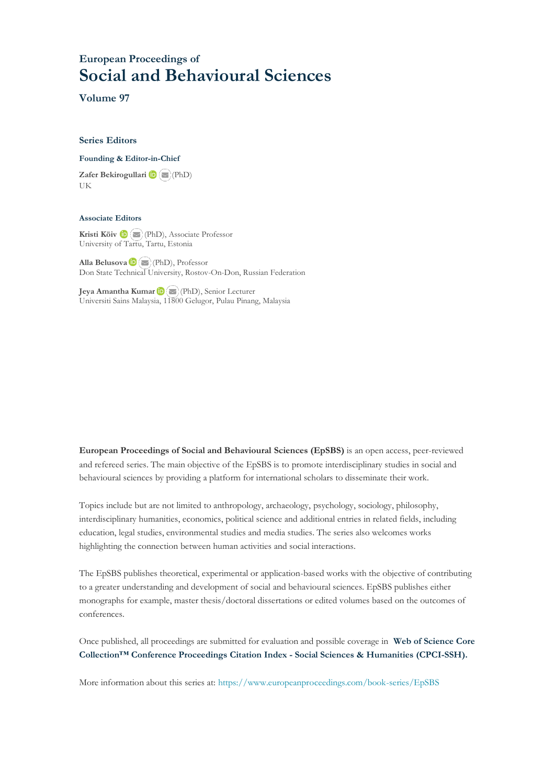## **European Proceedings of Social and Behavioural Sciences**

**Volume 97**

#### **Series Editors**

**Founding & Editor-in-Chief**

**Zafer Bekirogullari**(PhD) UK

#### **Associate Editors**

**Kristi Köiv** (PhD), Associate Professor University of Tartu, Tartu, Estonia

**Alla Belusova**(PhD), Professor Don State Technical University, Rostov-On-Don, Russian Federation

**Jeya Amantha Kumar**(PhD), Senior Lecturer Universiti Sains Malaysia, [1180](mailto:amantha@usm.my)0 Gelugor, Pulau Pinang, Malaysia

**European Proceedings of Social and Behavioural Sciences (EpSBS)** is an open access, peer-reviewed and refereed series. The main objective of the EpSBS is to promote interdisciplinary studies in social and behavioural sciences by providing a platform for international scholars to disseminate their work.

Topics include but are not limited to anthropology, archaeology, psychology, sociology, philosophy, interdisciplinary humanities, economics, political science and additional entries in related fields, including education, legal studies, environmental studies and media studies. The series also welcomes works highlighting the connection between human activities and social interactions.

The EpSBS publishes theoretical, experimental or application-based works with the objective of contributing to a greater understanding and development of social and behavioural sciences. EpSBS publishes either monographs for example, master thesis/doctoral dissertations or edited volumes based on the outcomes of conferences.

Once published, all proceedings are submitted for evaluation and possible coverage in **Web of [Science](https://clarivate.com/webofsciencegroup/solutions/webofscience-cpci/) Core Collection™ Conference Proceedings Citation Index - Social Sciences & Humanities [\(CPCI-SSH\).](https://clarivate.com/webofsciencegroup/solutions/webofscience-cpci/)**

More information about this series at[: https://www.europeanproceedings.com/book-series/EpSBS](https://www.europeanproceedings.com/book-series/EpSBS)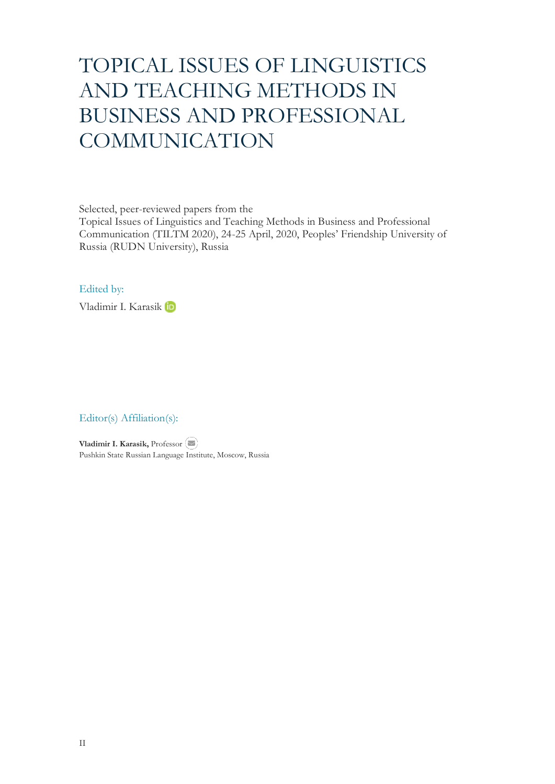# TOPICAL ISSUES OF LINGUISTICS AND TEACHING METHODS IN BUSINESS AND PROFESSIONAL **COMMUNICATION**

Selected, peer-reviewed papers from the

Topical Issues of Linguistics and Teaching Methods in Business and Professional Communication (TILTM 2020), 24-25 April, 2020, Peoples' Friendship University of Russia (RUDN University), Russia

#### Edited by:

Vladimir I. Karasik

### Editor(s) Affiliation(s):

**Vladimir I. Karasik,** Professor Pushkin State Russian Language Institute, Moscow, Russia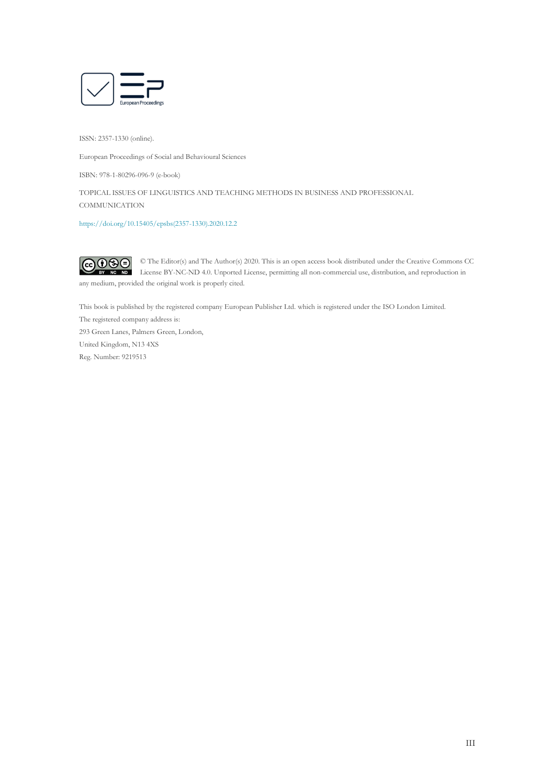

ISSN: 2357-1330 (online).

European Proceedings of Social and Behavioural Sciences

ISBN: 978-1-80296-096-9 (e-book)

TOPICAL ISSUES OF LINGUISTICS AND TEACHING METHODS IN BUSINESS AND PROFESSIONAL **COMMUNICATION** 

[https://doi.org/10.15405/epsbs\(2357-1330\).2020.12.2](https://doi.org/10.15405/epsbs(2357-1330).2020.12.2) 

 $\odot$   $\odot$   $\odot$ © The Editor(s) and The Author(s) 2020. This is an open access book distributed under the Creative Commons CC License BY-NC-ND 4.0. Unported License, permitting all non-commercial use, distribution, and reproduction in any medium, provided the original work is properly cited.

This book is published by the registered company European Publisher Ltd. which is registered under the ISO London Limited.

The registered company address is: 293 Green Lanes, Palmers Green, London, United Kingdom, N13 4XS Reg. Number: 9219513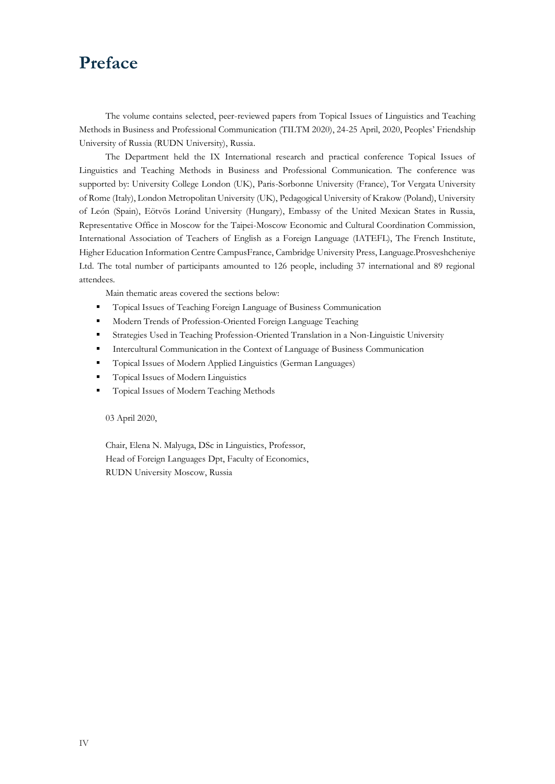## **Preface**

The volume contains selected, peer-reviewed papers from Topical Issues of Linguistics and Teaching Methods in Business and Professional Communication (TILTM 2020), 24-25 April, 2020, Peoples' Friendship University of Russia (RUDN University), Russia.

The Department held the IX International research and practical conference Topical Issues of Linguistics and Teaching Methods in Business and Professional Communication. The conference was supported by: University College London (UK), Paris-Sorbonne University (France), Tor Vergata University of Rome (Italy), London Metropolitan University (UK), Pedagogical University of Krakow (Poland), University of León (Spain), Eötvös Loránd University (Hungary), Embassy of the United Mexican States in Russia, Representative Office in Moscow for the Taipei-Moscow Economic and Cultural Coordination Commission, International Association of Teachers of English as a Foreign Language (IATEFL), The French Institute, Higher Education Information Centre CampusFrance, Cambridge University Press, Language.Prosveshcheniye Ltd. The total number of participants amounted to 126 people, including 37 international and 89 regional attendees.

Main thematic areas covered the sections below:

- Topical Issues of Teaching Foreign Language of Business Communication
- Modern Trends of Profession-Oriented Foreign Language Teaching
- **Exercises Used in Teaching Profession-Oriented Translation in a Non-Linguistic University**
- Intercultural Communication in the Context of Language of Business Communication
- Topical Issues of Modern Applied Linguistics (German Languages)
- Topical Issues of Modern Linguistics
- Topical Issues of Modern Teaching Methods

03 April 2020,

Chair, Elena N. Malyuga, DSc in Linguistics, Professor, Head of Foreign Languages Dpt, Faculty of Economics, RUDN University Moscow, Russia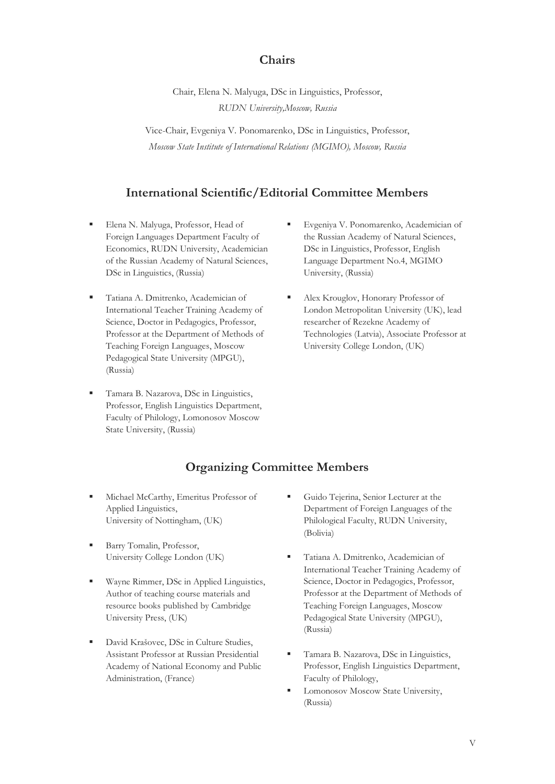### **Chairs**

Chair, Elena N. Malyuga, DSc in Linguistics, Professor, *RUDN University,Moscow, Russia*

Vice-Chair, Evgeniya V. Ponomarenko, DSc in Linguistics, Professor, *Moscow State Institute of International Relations (MGIMO), Moscow, Russia*

### **International Scientific/Editorial Committee Members**

- Elena N. Malyuga, Professor, Head of Foreign Languages Department Faculty of Economics, RUDN University, Academician of the Russian Academy of Natural Sciences, DSc in Linguistics, (Russia)
- Tatiana A. Dmitrenko, Academician of International Teacher Training Academy of Science, Doctor in Pedagogics, Professor, Professor at the Department of Methods of Teaching Foreign Languages, Moscow Pedagogical State University (MPGU), (Russia)
- Tamara B. Nazarova, DSc in Linguistics, Professor, English Linguistics Department, Faculty of Philology, Lomonosov Moscow State University, (Russia)
- Evgeniya V. Ponomarenko, Academician of the Russian Academy of Natural Sciences, DSc in Linguistics, Professor, English Language Department No.4, MGIMO University, (Russia)
- Alex Krouglov, Honorary Professor of London Metropolitan University (UK), lead researcher of Rezekne Academy of Technologies (Latvia), Associate Professor at University College London, (UK)

## **Organizing Committee Members**

- Michael McCarthy, Emeritus Professor of Applied Linguistics, University of Nottingham, (UK)
- Barry Tomalin, Professor, University College London (UK)
- Wayne Rimmer, DSc in Applied Linguistics, Author of teaching course materials and resource books published by Cambridge University Press, (UK)
- David Krašovec, DSc in Culture Studies, Assistant Professor at Russian Presidential Academy of National Economy and Public Administration, (France)
- Guido Tejerina, Senior Lecturer at the Department of Foreign Languages of the Philological Faculty, RUDN University, (Bolivia)
- Tatiana A. Dmitrenko, Academician of International Teacher Training Academy of Science, Doctor in Pedagogics, Professor, Professor at the Department of Methods of Teaching Foreign Languages, Moscow Pedagogical State University (MPGU), (Russia)
- Tamara B. Nazarova, DSc in Linguistics, Professor, English Linguistics Department, Faculty of Philology,
- Lomonosov Moscow State University, (Russia)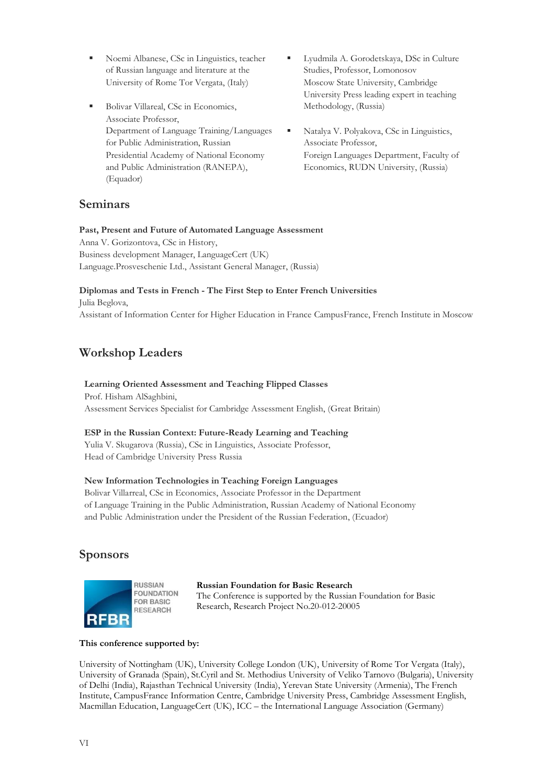- Noemi Albanese, CSc in Linguistics, teacher of Russian language and literature at the University of Rome Tor Vergata, (Italy)
- Bolivar Villareal, CSc in Economics, Associate Professor, Department of Language Training/Languages for Public Administration, Russian Presidential Academy of National Economy and Public Administration (RANEPA), (Equador)
- Lyudmila A. Gorodetskaya, DSc in Culture Studies, Professor, Lomonosov Moscow State University, Cambridge University Press leading expert in teaching Methodology, (Russia)
- Natalya V. Polyakova, CSc in Linguistics, Associate Professor, Foreign Languages Department, Faculty of Economics, RUDN University, (Russia)

## **Seminars**

## **Past, Present and Future of Automated Language Assessment**

Anna V. Gorizontova, CSc in History, Business development Manager, LanguageCert (UK) Language.Prosveschenie Ltd., Assistant General Manager, (Russia)

## **Diplomas and Tests in French - The First Step to Enter French Universities**

Julia Beglova, Assistant of Information Center for Higher Education in France CampusFrance, French Institute in Moscow

## **Workshop Leaders**

#### **Learning Oriented Assessment and Teaching Flipped Classes** Prof. Hisham AlSaghbini,

Assessment Services Specialist for Cambridge Assessment English, (Great Britain)

#### **ESP in the Russian Context: Future-Ready Learning and Teaching**

Yulia V. Skugarova (Russia), CSc in Linguistics, Associate Professor, Head of Cambridge University Press Russia

#### **New Information Technologies in Teaching Foreign Languages**

Bolivar Villarreal, CSc in Economics, Associate Professor in the Department of Language Training in the Public Administration, Russian Academy of National Economy and Public Administration under the President of the Russian Federation, (Ecuador)

## **Sponsors**



#### **Russian Foundation for Basic Research** The Conference is supported by the Russian Foundation for Basic Research, Research Project No.20-012-20005

#### **This conference supported by:**

University of Nottingham (UK), University College London (UK), University of Rome Tor Vergata (Italy), University of Granada (Spain), St.Cyril and St. Methodius University of Veliko Tarnovo (Bulgaria), University of Delhi (India), Rajasthan Technical University (India), Yerevan State University (Armenia), The French Institute, CampusFrance Information Centre, Cambridge University Press, Cambridge Assessment English, Macmillan Education, LanguageCert (UK), ICC – the International Language Association (Germany)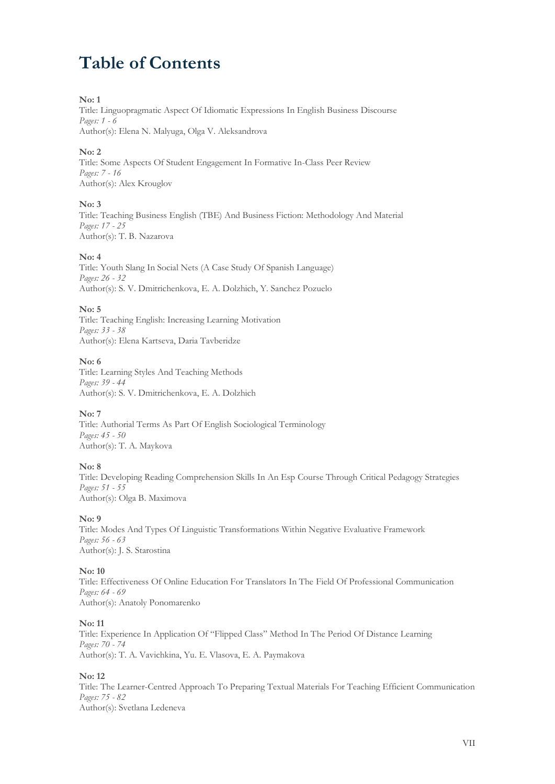## **Table of Contents**

#### **No: 1**

Title: Linguopragmatic Aspect Of Idiomatic Expressions In English Business Discourse *Pages: 1 - 6*

Author(s): Elena N. Malyuga, Olga V. Aleksandrova

#### **No: 2**

Title: Some Aspects Of Student Engagement In Formative In-Class Peer Review *Pages: 7 - 16* Author(s): Alex Krouglov

#### **No: 3**

Title: Teaching Business English (TBE) And Business Fiction: Methodology And Material *Pages: 17 - 25* Author(s): T. B. Nazarova

#### **No: 4**

Title: Youth Slang In Social Nets (A Case Study Of Spanish Language) *Pages: 26 - 32* Author(s): S. V. Dmitrichenkova, E. A. Dolzhich, Y. Sanchez Pozuelo

#### **No: 5**

Title: Teaching English: Increasing Learning Motivation *Pages: 33 - 38* Author(s): Elena Kartseva, Daria Tavberidze

#### **No: 6**

Title: Learning Styles And Teaching Methods *Pages: 39 - 44* Author(s): S. V. Dmitrichenkova, E. A. Dolzhich

#### **No: 7**

Title: Authorial Terms As Part Of English Sociological Terminology *Pages: 45 - 50* Author(s): T. A. Maykova

#### **No: 8**

Title: Developing Reading Comprehension Skills In An Esp Course Through Сritical Pedagogy Strategies *Pages: 51 - 55* Author(s): Olga B. Maximova

#### **No: 9**

Title: Modes And Types Of Linguistic Transformations Within Negative Evaluative Framework *Pages: 56 - 63* Author(s): J. S. Starostina

#### **No: 10**

Title: Effectiveness Of Online Education For Translators In The Field Of Professional Communication *Pages: 64 - 69* Author(s): Anatoly Ponomarenko

#### **No: 11**

Title: Experience In Application Of "Flipped Class" Method In The Period Of Distance Learning *Pages: 70 - 74* Author(s): T. A. Vavichkina, Yu. E. Vlasova, E. A. Paymakova

#### **No: 12**

Title: The Learner-Centred Approach To Preparing Textual Materials For Teaching Efficient Communication *Pages: 75 - 82* Author(s): Svetlana Ledeneva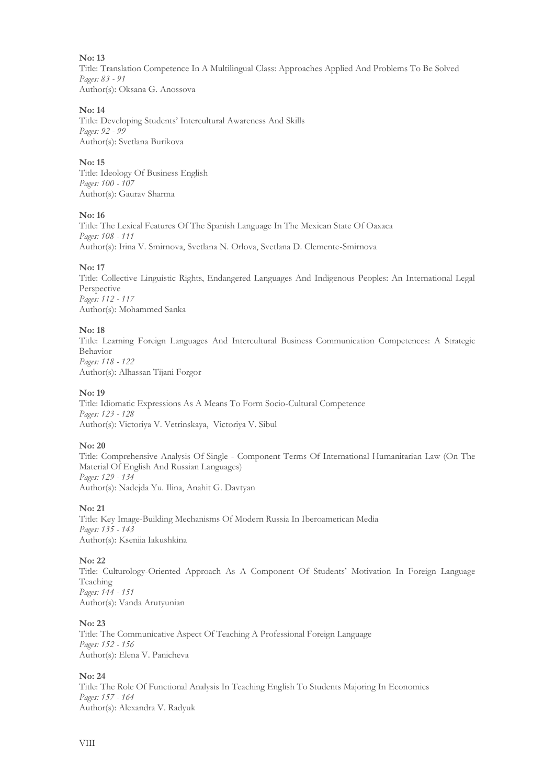Title: Translation Competence In A Multilingual Class: Approaches Applied And Problems To Be Solved *Pages: 83 - 91* Author(s): Oksana G. Anossova

#### **No: 14**

Title: Developing Students' Intercultural Awareness And Skills *Pages: 92 - 99* Author(s): Svetlana Burikova

#### **No: 15**

Title: Ideology Of Business English *Pages: 100 - 107* Author(s): Gaurav Sharma

#### **No: 16**

Title: The Lexical Features Of The Spanish Language In The Mexican State Of Oaxaca *Pages: 108 - 111* Author(s): Irina V. Smirnova, Svetlana N. Orlova, Svetlana D. Clemente-Smirnova

#### **No: 17**

Title: Collective Linguistic Rights, Endangered Languages And Indigenous Peoples: An International Legal Perspective *Pages: 112 - 117* Author(s): Mohammed Sanka

#### **No: 18**

Title: Learning Foreign Languages And Intercultural Business Communication Competences: A Strategic Behavior *Pages: 118 - 122* Author(s): Alhassan Tijani Forgor

#### **No: 19**

Title: Idiomatic Expressions As A Means To Form Socio-Cultural Competence *Pages: 123 - 128* Author(s): Victoriya V. Vetrinskaya, Victoriya V. Sibul

#### **No: 20**

Title: Comprehensive Analysis Of Single - Component Terms Of International Humanitarian Law (On The Material Of English And Russian Languages) *Pages: 129 - 134* Author(s): Nadejda Yu. Ilina, Anahit G. Davtyan

#### **No: 21**

Title: Key Image-Building Mechanisms Of Modern Russia In Iberoamerican Media *Pages: 135 - 143* Author(s): Kseniia Iakushkina

#### **No: 22**

Title: Culturology-Oriented Approach As A Component Of Students' Motivation In Foreign Language Teaching *Pages: 144 - 151* Author(s): Vanda Arutyunian

#### **No: 23**

Title: The Communicative Aspect Of Teaching A Professional Foreign Language *Pages: 152 - 156* Author(s): Elena V. Panicheva

#### **No: 24**

Title: The Role Of Functional Analysis In Teaching English To Students Majoring In Economics *Pages: 157 - 164* Author(s): Alexandra V. Radyuk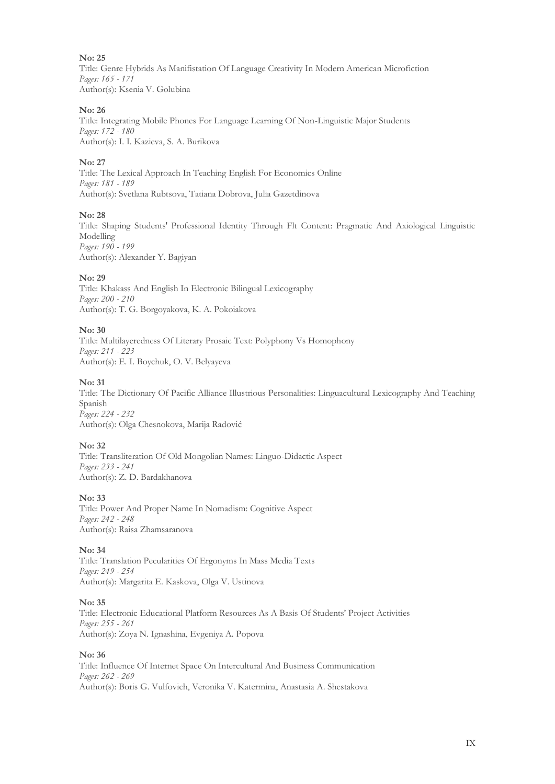Title: Genre Hybrids As Manifistation Of Language Creativity In Modern American Microfiction *Pages: 165 - 171* Author(s): Ksenia V. Golubina

#### **No: 26**

Title: Integrating Mobile Phones For Language Learning Of Non-Linguistic Major Students *Pages: 172 - 180* Author(s): I. I. Kazieva, S. A. Burikova

#### **No: 27**

Title: The Lexical Approach In Teaching English For Economics Online *Pages: 181 - 189* Author(s): Svetlana Rubtsova, Tatiana Dobrova, Julia Gazetdinova

#### **No: 28**

Title: Shaping Students' Professional Identity Through Flt Content: Pragmatic And Axiological Linguistic Modelling *Pages: 190 - 199* Author(s): Alexander Y. Bagiyan

#### **No: 29**

Title: Khakass And English In Electronic Bilingual Lexicography *Pages: 200 - 210* Author(s): T. G. Borgoyakova, K. A. Pokoiakova

#### **No: 30**

Title: Multilayeredness Of Literary Prosaic Text: Polyphony Vs Homophony *Pages: 211 - 223* Author(s): E. I. Boychuk, O. V. Belyayeva

#### **No: 31**

Title: The Dictionary Of Pacific Alliance Illustrious Personalities: Linguacultural Lexicography And Teaching Spanish *Pages: 224 - 232* Author(s): Olga Chesnokova, Marija Radović

#### **No: 32**

Title: Transliteration Of Old Mongolian Names: Linguo-Didactic Aspect *Pages: 233 - 241* Author(s): Z. D. Bardakhanova

#### **No: 33**

Title: Power And Proper Name In Nomadism: Cognitive Aspect *Pages: 242 - 248* Author(s): Raisa Zhamsaranova

#### **No: 34**

Title: Translation Pecularities Of Ergonyms In Mass Media Texts *Pages: 249 - 254* Author(s): Margarita E. Kaskova, Olga V. Ustinova

#### **No: 35**

Title: Electronic Educational Platform Resources As A Basis Of Students' Project Activities *Pages: 255 - 261* Author(s): Zoya N. Ignashina, Evgeniya A. Popova

#### **No: 36**

Title: Influence Of Internet Space On Intercultural And Business Communication *Pages: 262 - 269* Author(s): Boris G. Vulfovich, Veronika V. Katermina, Anastasia A. Shestakova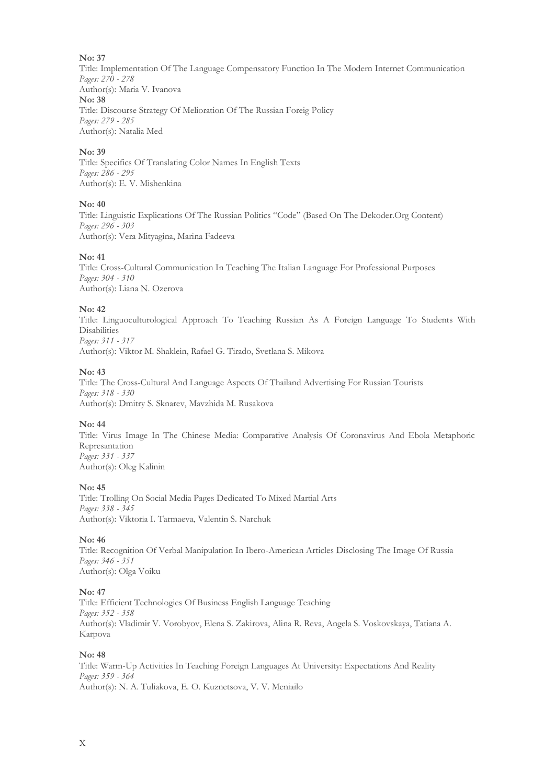Title: Implementation Of The Language Compensatory Function In The Modern Internet Communication *Pages: 270 - 278* Author(s): Maria V. Ivanova **No: 38** Title: Discourse Strategy Of Melioration Of The Russian Foreig Policy *Pages: 279 - 285* Author(s): Natalia Med

#### **No: 39**

Title: Specifics Of Translating Color Names In English Texts *Pages: 286 - 295* Author(s): E. V. Mishenkina

#### **No: 40**

Title: Linguistic Explications Of The Russian Politics "Code" (Based On The Dekoder.Org Content) *Pages: 296 - 303* Author(s): Vera Mityagina, Marina Fadeeva

#### **No: 41**

Title: Cross-Cultural Communication In Teaching The Italian Language For Professional Purposes *Pages: 304 - 310* Author(s): Liana N. Ozerova

#### **No: 42**

Title: Linguoculturological Approach To Teaching Russian As A Foreign Language To Students With **Disabilities** *Pages: 311 - 317* Author(s): Viktor M. Shaklein, Rafael G. Tirado, Svetlana S. Mikova

#### **No: 43**

Title: The Cross-Cultural And Language Aspects Of Thailand Advertising For Russian Tourists *Pages: 318 - 330* Author(s): Dmitry S. Sknarev, Mavzhida M. Rusakova

#### **No: 44**

Title: Virus Image In The Chinese Media: Comparative Analysis Of Coronavirus And Ebola Metaphoric Represantation *Pages: 331 - 337* Author(s): Oleg Kalinin

#### **No: 45**

Title: Trolling On Social Media Pages Dedicated To Mixed Martial Arts *Pages: 338 - 345* Author(s): Viktoria I. Tarmaeva, Valentin S. Narchuk

#### **No: 46**

Title: Recognition Of Verbal Manipulation In Ibero-American Articles Disclosing The Image Of Russia *Pages: 346 - 351* Author(s): Olga Voiku

#### **No: 47**

Title: Efficient Technologies Of Business English Language Teaching *Pages: 352 - 358* Author(s): Vladimir V. Vorobyov, Elena S. Zakirova, Alina R. Reva, Angela S. Voskovskaya, Tatiana A. Karpova

#### **No: 48**

Title: Warm-Up Activities In Teaching Foreign Languages At University: Expectations And Reality *Pages: 359 - 364* Author(s): N. A. Tuliakova, E. O. Kuznetsova, V. V. Meniailo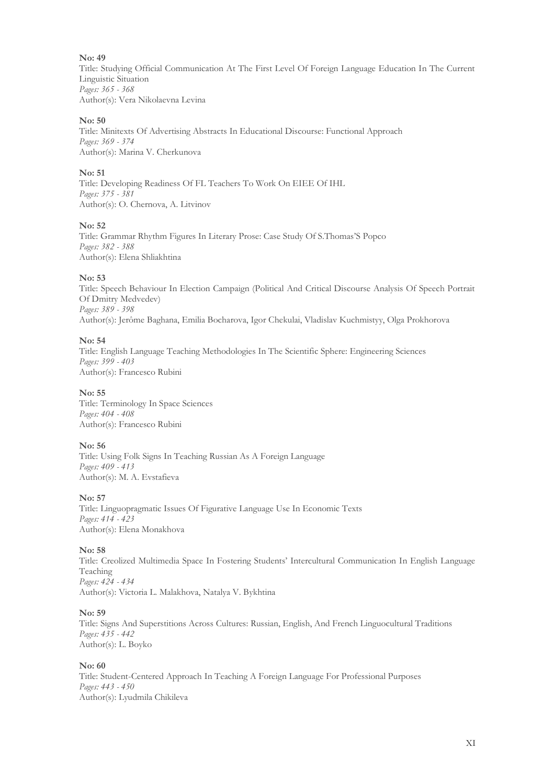Title: Studying Official Communication At The First Level Of Foreign Language Education In The Current Linguistic Situation *Pages: 365 - 368* Author(s): Vera Nikolaevna Levina

#### **No: 50**

Title: Minitexts Of Advertising Abstracts In Educational Discourse: Functional Approach *Pages: 369 - 374* Author(s): Marina V. Cherkunova

#### **No: 51**

Title: Developing Readiness Of FL Teachers To Work On EIEE Of IHL *Pages: 375 - 381* Author(s): O. Chernova, A. Litvinov

#### **No: 52**

Title: Grammar Rhythm Figures In Literary Prose: Case Study Of S.Thomas'S Popco *Pages: 382 - 388* Author(s): Elena Shliakhtina

#### **No: 53**

Title: Speech Behaviour In Election Campaign (Political And Critical Discourse Analysis Of Speech Portrait Of Dmitry Medvedev) *Pages: 389 - 398* Author(s): Jerôme Baghana, Emilia Bocharova, Igor Chekulai, Vladislav Kuchmistyy, Olga Prokhorova

#### **No: 54**

Title: English Language Teaching Methodologies In The Scientific Sphere: Engineering Sciences *Pages: 399 - 403* Author(s): Francesco Rubini

#### **No: 55**

Title: Terminology In Space Sciences *Pages: 404 - 408* Author(s): Francesco Rubini

#### **No: 56**

Title: Using Folk Signs In Teaching Russian As A Foreign Language *Pages: 409 - 413* Author(s): M. A. Evstafieva

#### **No: 57**

Title: Linguopragmatic Issues Of Figurative Language Use In Economic Texts *Pages: 414 - 423* Author(s): Elena Monakhova

#### **No: 58**

Title: Creolized Multimedia Space In Fostering Students' Intercultural Communication In English Language Teaching *Pages: 424 - 434* Author(s): Victoria L. Malakhova, Natalya V. Bykhtina

#### **No: 59**

Title: Signs And Superstitions Across Cultures: Russian, English, And French Linguocultural Traditions *Pages: 435 - 442* Author(s): L. Boyko

#### **No: 60**

Title: Student-Centered Approach In Teaching A Foreign Language For Professional Purposes *Pages: 443 - 450* Author(s): Lyudmila Chikileva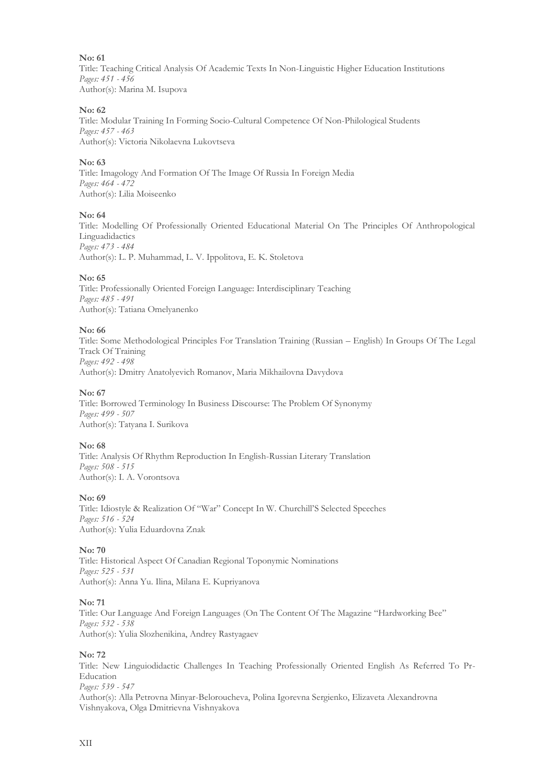Title: Teaching Critical Analysis Of Academic Texts In Non-Linguistic Higher Education Institutions *Pages: 451 - 456* Author(s): Marina M. Isupova

#### **No: 62**

Title: Modular Training In Forming Socio-Cultural Competence Of Non-Philological Students *Pages: 457 - 463* Author(s): Victoria Nikolaevna Lukovtseva

#### **No: 63**

Title: Imagology And Formation Of The Image Of Russia In Foreign Media *Pages: 464 - 472* Author(s): Lilia Moiseenko

#### **No: 64**

Title: Modelling Of Professionally Oriented Educational Material On The Principles Of Anthropological Linguadidactics *Pages: 473 - 484* Author(s): L. P. Muhammad, L. V. Ippolitova, E. K. Stoletova

#### **No: 65**

Title: Professionally Oriented Foreign Language: Interdisciplinary Teaching *Pages: 485 - 491* Author(s): Tatiana Omelyanenko

#### **No: 66**

Title: Some Methodological Principles For Translation Training (Russian – English) In Groups Of The Legal Track Of Training *Pages: 492 - 498* Author(s): Dmitry Anatolyevich Romanov, Maria Mikhailovna Davydova

#### **No: 67**

Title: Borrowed Terminology In Business Discourse: The Problem Of Synonymy *Pages: 499 - 507* Author(s): Tatyana I. Surikova

#### **No: 68**

Title: Analysis Of Rhythm Reproduction In English-Russian Literary Translation *Pages: 508 - 515* Author(s): I. A. Vorontsova

#### **No: 69**

Title: Idiostyle & Realization Of "War" Concept In W. Churchill'S Selected Speeches *Pages: 516 - 524* Author(s): Yulia Eduardovna Znak

#### **No: 70**

Title: Historical Aspect Of Canadian Regional Toponymic Nominations *Pages: 525 - 531* Author(s): Anna Yu. Ilina, Milana E. Kupriyanova

#### **No: 71**

Title: Our Language And Foreign Languages (On The Content Of The Magazine "Hardworking Bee" *Pages: 532 - 538* Author(s): Yulia Slozhenikina, Andrey Rastyagaev

#### **No: 72**

Title: New Linguiodidactic Challenges In Teaching Professionally Oriented English As Referred To Pr-Education *Pages: 539 - 547* Author(s): Alla Petrovna Minyar-Beloroucheva, Polina Igorevna Sergienko, Elizaveta Alexandrovna Vishnyakova, Olga Dmitrievna Vishnyakova